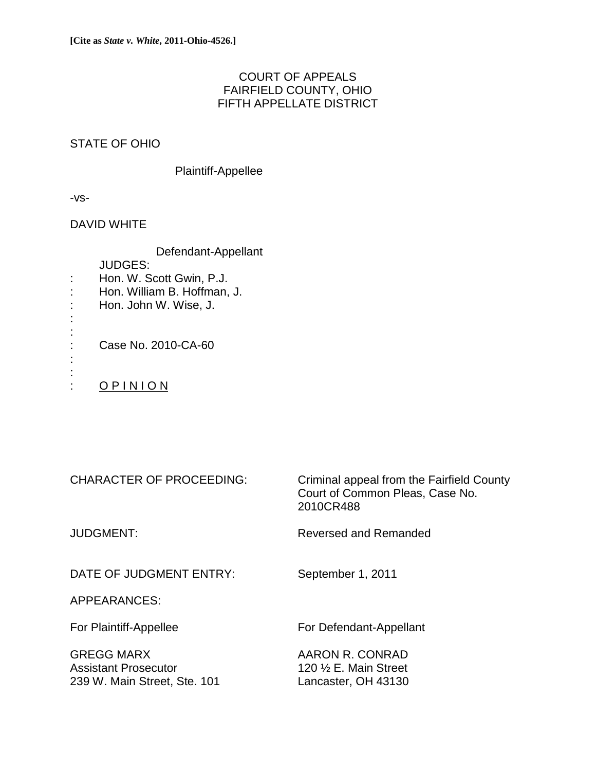# COURT OF APPEALS FAIRFIELD COUNTY, OHIO FIFTH APPELLATE DISTRICT

# STATE OF OHIO

## Plaintiff-Appellee

-vs-

:

: :

## DAVID WHITE

Defendant-Appellant

JUDGES:

- : Hon. W. Scott Gwin, P.J.
- : Hon. William B. Hoffman, J.
- : Hon. John W. Wise, J.

: : Case No. 2010-CA-60

: O P I N I O N

| <b>CHARACTER OF PROCEEDING:</b>                                                  | Criminal appeal from the Fairfield County<br>Court of Common Pleas, Case No.<br>2010CR488 |
|----------------------------------------------------------------------------------|-------------------------------------------------------------------------------------------|
| <b>JUDGMENT:</b>                                                                 | Reversed and Remanded                                                                     |
| DATE OF JUDGMENT ENTRY:                                                          | September 1, 2011                                                                         |
| APPEARANCES:                                                                     |                                                                                           |
| For Plaintiff-Appellee                                                           | For Defendant-Appellant                                                                   |
| <b>GREGG MARX</b><br><b>Assistant Prosecutor</b><br>239 W. Main Street, Ste. 101 | AARON R. CONRAD<br>120 $\frac{1}{2}$ E. Main Street<br>Lancaster, OH 43130                |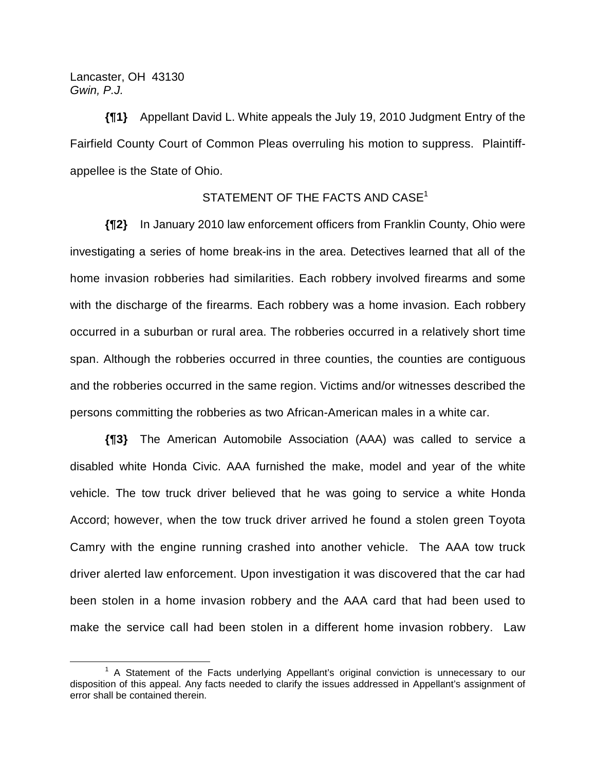## Lancaster, OH 43130 *Gwin, P.J.*

**{¶1}** Appellant David L. White appeals the July 19, 2010 Judgment Entry of the Fairfield County Court of Common Pleas overruling his motion to suppress. Plaintiffappellee is the State of Ohio.

## STATEMENT OF THE FACTS AND CASE<sup>1</sup>

**{¶2}** In January 2010 law enforcement officers from Franklin County, Ohio were investigating a series of home break-ins in the area. Detectives learned that all of the home invasion robberies had similarities. Each robbery involved firearms and some with the discharge of the firearms. Each robbery was a home invasion. Each robbery occurred in a suburban or rural area. The robberies occurred in a relatively short time span. Although the robberies occurred in three counties, the counties are contiguous and the robberies occurred in the same region. Victims and/or witnesses described the persons committing the robberies as two African-American males in a white car.

**{¶3}** The American Automobile Association (AAA) was called to service a disabled white Honda Civic. AAA furnished the make, model and year of the white vehicle. The tow truck driver believed that he was going to service a white Honda Accord; however, when the tow truck driver arrived he found a stolen green Toyota Camry with the engine running crashed into another vehicle. The AAA tow truck driver alerted law enforcement. Upon investigation it was discovered that the car had been stolen in a home invasion robbery and the AAA card that had been used to make the service call had been stolen in a different home invasion robbery. Law

 $\overline{\phantom{a}}$  1  $<sup>1</sup>$  A Statement of the Facts underlying Appellant's original conviction is unnecessary to our</sup> disposition of this appeal. Any facts needed to clarify the issues addressed in Appellant's assignment of error shall be contained therein.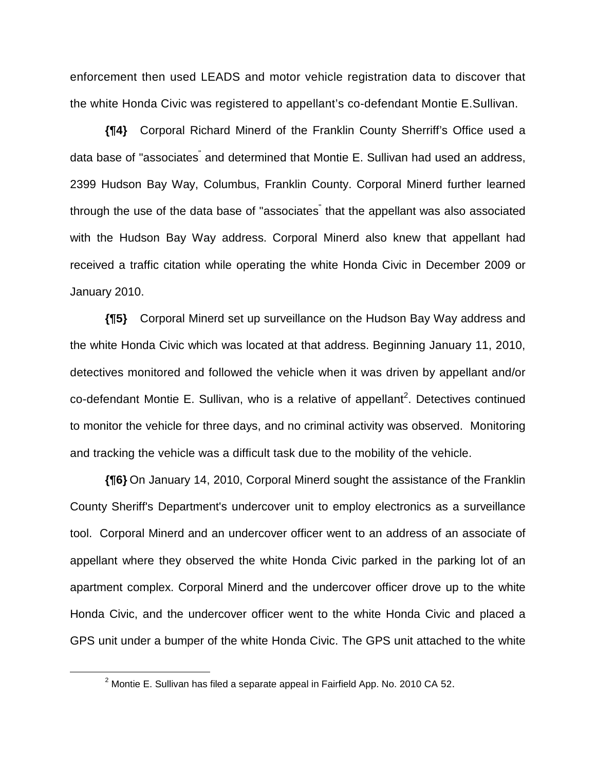enforcement then used LEADS and motor vehicle registration data to discover that the white Honda Civic was registered to appellant's co-defendant Montie E.Sullivan.

**{¶4}** Corporal Richard Minerd of the Franklin County Sherriff's Office used a data base of "associates<sup>"</sup> and determined that Montie E. Sullivan had used an address, 2399 Hudson Bay Way, Columbus, Franklin County. Corporal Minerd further learned through the use of the data base of "associates<sup>"</sup> that the appellant was also associated with the Hudson Bay Way address. Corporal Minerd also knew that appellant had received a traffic citation while operating the white Honda Civic in December 2009 or January 2010.

**{¶5}** Corporal Minerd set up surveillance on the Hudson Bay Way address and the white Honda Civic which was located at that address. Beginning January 11, 2010, detectives monitored and followed the vehicle when it was driven by appellant and/or co-defendant Montie E. Sullivan, who is a relative of appellant<sup>2</sup>. Detectives continued to monitor the vehicle for three days, and no criminal activity was observed. Monitoring and tracking the vehicle was a difficult task due to the mobility of the vehicle.

**{¶6}** On January 14, 2010, Corporal Minerd sought the assistance of the Franklin County Sheriff's Department's undercover unit to employ electronics as a surveillance tool. Corporal Minerd and an undercover officer went to an address of an associate of appellant where they observed the white Honda Civic parked in the parking lot of an apartment complex. Corporal Minerd and the undercover officer drove up to the white Honda Civic, and the undercover officer went to the white Honda Civic and placed a GPS unit under a bumper of the white Honda Civic. The GPS unit attached to the white

 $\frac{1}{2}$  $2$  Montie E. Sullivan has filed a separate appeal in Fairfield App. No. 2010 CA 52.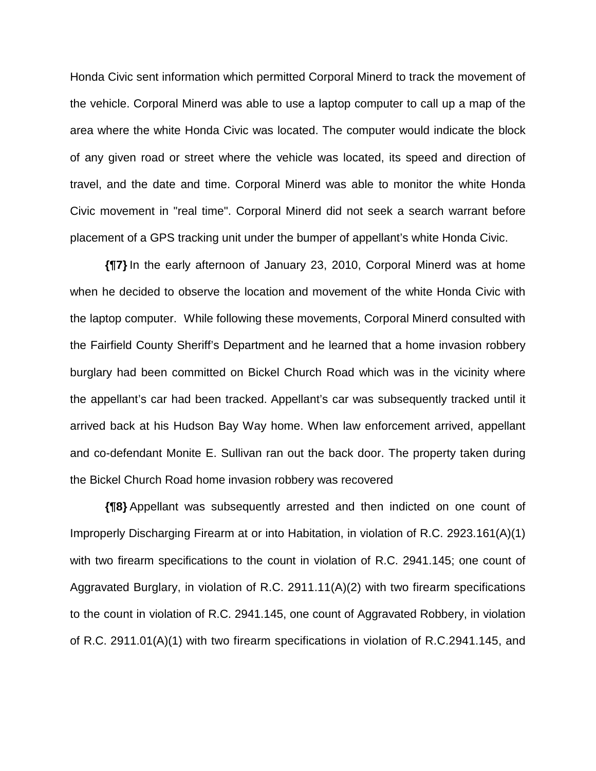Honda Civic sent information which permitted Corporal Minerd to track the movement of the vehicle. Corporal Minerd was able to use a laptop computer to call up a map of the area where the white Honda Civic was located. The computer would indicate the block of any given road or street where the vehicle was located, its speed and direction of travel, and the date and time. Corporal Minerd was able to monitor the white Honda Civic movement in "real time". Corporal Minerd did not seek a search warrant before placement of a GPS tracking unit under the bumper of appellant's white Honda Civic.

**{¶7}** In the early afternoon of January 23, 2010, Corporal Minerd was at home when he decided to observe the location and movement of the white Honda Civic with the laptop computer. While following these movements, Corporal Minerd consulted with the Fairfield County Sheriff's Department and he learned that a home invasion robbery burglary had been committed on Bickel Church Road which was in the vicinity where the appellant's car had been tracked. Appellant's car was subsequently tracked until it arrived back at his Hudson Bay Way home. When law enforcement arrived, appellant and co-defendant Monite E. Sullivan ran out the back door. The property taken during the Bickel Church Road home invasion robbery was recovered

**{¶8}** Appellant was subsequently arrested and then indicted on one count of Improperly Discharging Firearm at or into Habitation, in violation of R.C. 2923.161(A)(1) with two firearm specifications to the count in violation of R.C. 2941.145; one count of Aggravated Burglary, in violation of R.C. 2911.11(A)(2) with two firearm specifications to the count in violation of R.C. 2941.145, one count of Aggravated Robbery, in violation of R.C. 2911.01(A)(1) with two firearm specifications in violation of R.C.2941.145, and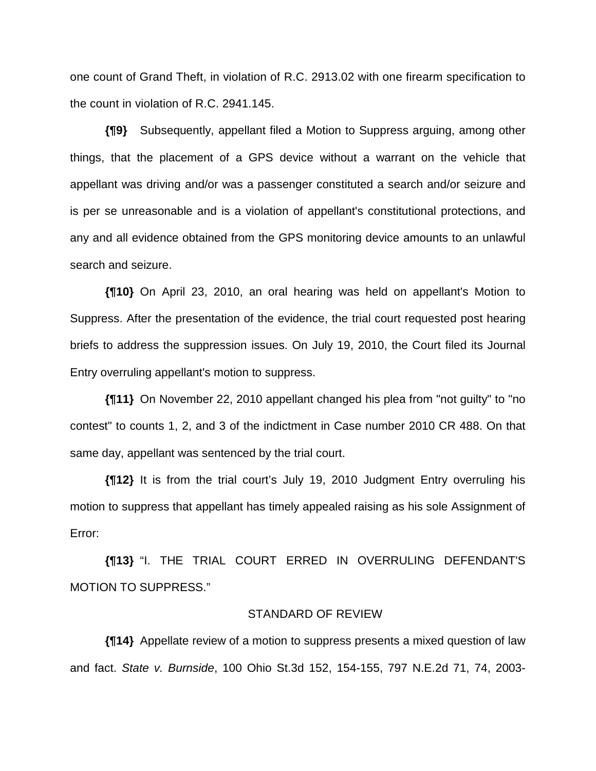one count of Grand Theft, in violation of R.C. 2913.02 with one firearm specification to the count in violation of R.C. 2941.145.

**{¶9}** Subsequently, appellant filed a Motion to Suppress arguing, among other things, that the placement of a GPS device without a warrant on the vehicle that appellant was driving and/or was a passenger constituted a search and/or seizure and is per se unreasonable and is a violation of appellant's constitutional protections, and any and all evidence obtained from the GPS monitoring device amounts to an unlawful search and seizure.

**{¶10}** On April 23, 2010, an oral hearing was held on appellant's Motion to Suppress. After the presentation of the evidence, the trial court requested post hearing briefs to address the suppression issues. On July 19, 2010, the Court filed its Journal Entry overruling appellant's motion to suppress.

**{¶11}** On November 22, 2010 appellant changed his plea from "not guilty" to "no contest" to counts 1, 2, and 3 of the indictment in Case number 2010 CR 488. On that same day, appellant was sentenced by the trial court.

**{¶12}** It is from the trial court's July 19, 2010 Judgment Entry overruling his motion to suppress that appellant has timely appealed raising as his sole Assignment of Error:

**{¶13}** "I. THE TRIAL COURT ERRED IN OVERRULING DEFENDANT'S MOTION TO SUPPRESS."

#### STANDARD OF REVIEW

**{¶14}** Appellate review of a motion to suppress presents a mixed question of law and fact. *State v. Burnside*, 100 Ohio St.3d 152, 154-155, 797 N.E.2d 71, 74, 2003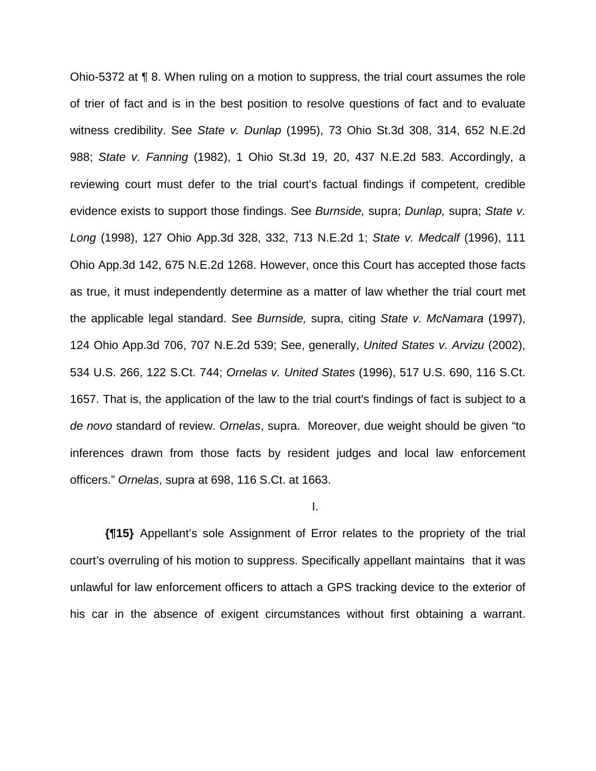Ohio-5372 at ¶ 8. When ruling on a motion to suppress, the trial court assumes the role of trier of fact and is in the best position to resolve questions of fact and to evaluate witness credibility. See *State v. Dunlap* (1995), 73 Ohio St.3d 308, 314, 652 N.E.2d 988; *State v. Fanning* (1982), 1 Ohio St.3d 19, 20, 437 N.E.2d 583. Accordingly, a reviewing court must defer to the trial court's factual findings if competent, credible evidence exists to support those findings. See *Burnside,* supra; *Dunlap,* supra; *State v. Long* (1998), 127 Ohio App.3d 328, 332, 713 N.E.2d 1; *State v. Medcalf* (1996), 111 Ohio App.3d 142, 675 N.E.2d 1268. However, once this Court has accepted those facts as true, it must independently determine as a matter of law whether the trial court met the applicable legal standard. See *Burnside,* supra, citing *State v. McNamara* (1997), 124 Ohio App.3d 706, 707 N.E.2d 539; See, generally, *United States v. Arvizu* (2002), 534 U.S. 266, 122 S.Ct. 744; *Ornelas v. United States* (1996), 517 U.S. 690, 116 S.Ct. 1657. That is, the application of the law to the trial court's findings of fact is subject to a *de novo* standard of review. *Ornelas*, supra. Moreover, due weight should be given "to inferences drawn from those facts by resident judges and local law enforcement officers." *Ornelas*, supra at 698, 116 S.Ct. at 1663.

### I.

**{¶15}** Appellant's sole Assignment of Error relates to the propriety of the trial court's overruling of his motion to suppress. Specifically appellant maintains that it was unlawful for law enforcement officers to attach a GPS tracking device to the exterior of his car in the absence of exigent circumstances without first obtaining a warrant.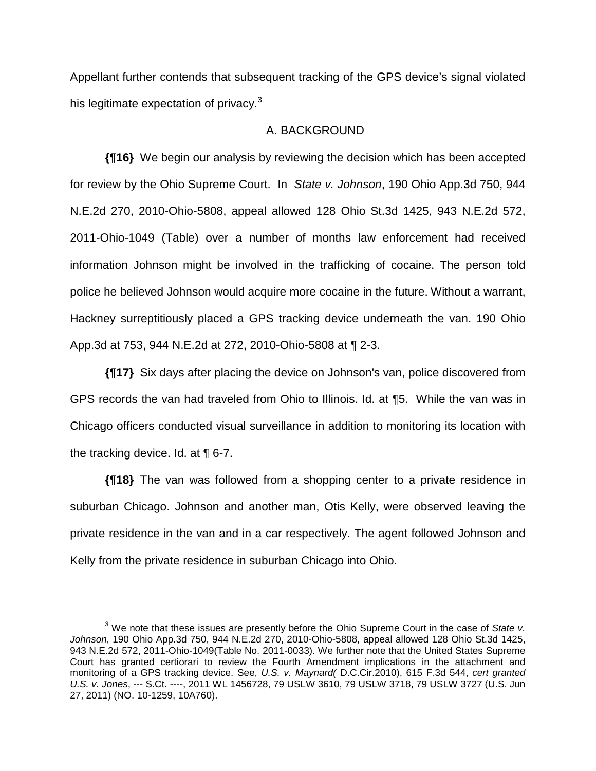Appellant further contends that subsequent tracking of the GPS device's signal violated his legitimate expectation of privacy.<sup>3</sup>

## A. BACKGROUND

**{¶16}** We begin our analysis by reviewing the decision which has been accepted for review by the Ohio Supreme Court. In *State v. Johnson*, 190 Ohio App.3d 750, 944 N.E.2d 270, 2010-Ohio-5808, appeal allowed 128 Ohio St.3d 1425, 943 N.E.2d 572, 2011-Ohio-1049 (Table) over a number of months law enforcement had received information Johnson might be involved in the trafficking of cocaine. The person told police he believed Johnson would acquire more cocaine in the future. Without a warrant, Hackney surreptitiously placed a GPS tracking device underneath the van. 190 Ohio App.3d at 753, 944 N.E.2d at 272, 2010-Ohio-5808 at ¶ 2-3.

**{¶17}** Six days after placing the device on Johnson's van, police discovered from GPS records the van had traveled from Ohio to Illinois. Id. at ¶5. While the van was in Chicago officers conducted visual surveillance in addition to monitoring its location with the tracking device. Id. at ¶ 6-7.

**{¶18}** The van was followed from a shopping center to a private residence in suburban Chicago. Johnson and another man, Otis Kelly, were observed leaving the private residence in the van and in a car respectively. The agent followed Johnson and Kelly from the private residence in suburban Chicago into Ohio.

 $\overline{\phantom{a}}$  3 We note that these issues are presently before the Ohio Supreme Court in the case of *State v. Johnson*, 190 Ohio App.3d 750, 944 N.E.2d 270, 2010-Ohio-5808, appeal allowed 128 Ohio St.3d 1425, 943 N.E.2d 572, 2011-Ohio-1049(Table No. 2011-0033). We further note that the United States Supreme Court has granted certiorari to review the Fourth Amendment implications in the attachment and monitoring of a GPS tracking device. See, *U.S. v. Maynard(* D.C.Cir.2010), 615 F.3d 544, *cert granted U.S. v. Jones*, --- S.Ct. ----, 2011 WL 1456728, 79 USLW 3610, 79 USLW 3718, 79 USLW 3727 (U.S. Jun 27, 2011) (NO. 10-1259, 10A760).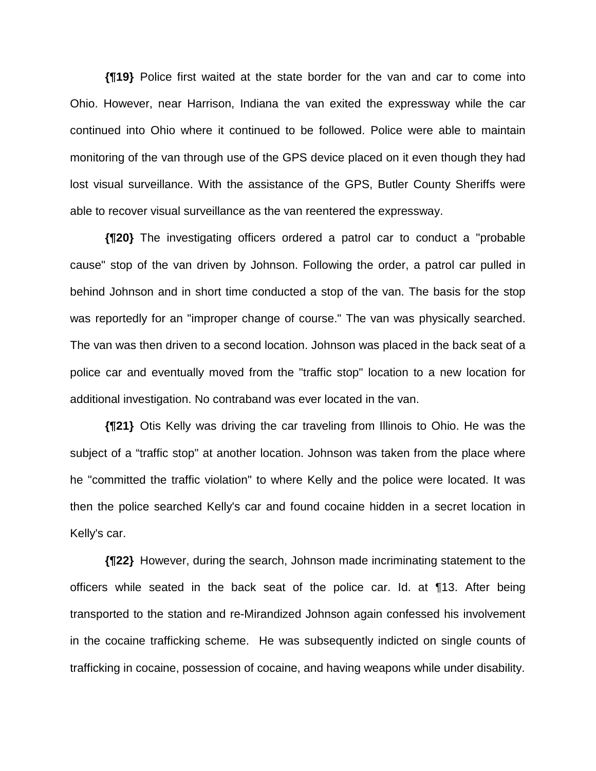**{¶19}** Police first waited at the state border for the van and car to come into Ohio. However, near Harrison, Indiana the van exited the expressway while the car continued into Ohio where it continued to be followed. Police were able to maintain monitoring of the van through use of the GPS device placed on it even though they had lost visual surveillance. With the assistance of the GPS, Butler County Sheriffs were able to recover visual surveillance as the van reentered the expressway.

**{¶20}** The investigating officers ordered a patrol car to conduct a "probable cause" stop of the van driven by Johnson. Following the order, a patrol car pulled in behind Johnson and in short time conducted a stop of the van. The basis for the stop was reportedly for an "improper change of course." The van was physically searched. The van was then driven to a second location. Johnson was placed in the back seat of a police car and eventually moved from the "traffic stop" location to a new location for additional investigation. No contraband was ever located in the van.

**{¶21}** Otis Kelly was driving the car traveling from Illinois to Ohio. He was the subject of a "traffic stop" at another location. Johnson was taken from the place where he "committed the traffic violation" to where Kelly and the police were located. It was then the police searched Kelly's car and found cocaine hidden in a secret location in Kelly's car.

**{¶22}** However, during the search, Johnson made incriminating statement to the officers while seated in the back seat of the police car. Id. at ¶13. After being transported to the station and re-Mirandized Johnson again confessed his involvement in the cocaine trafficking scheme. He was subsequently indicted on single counts of trafficking in cocaine, possession of cocaine, and having weapons while under disability.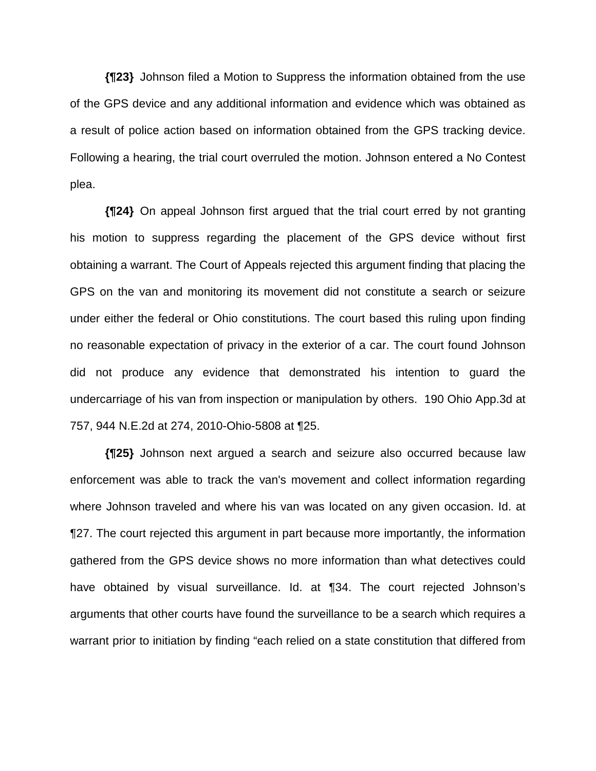**{¶23}** Johnson filed a Motion to Suppress the information obtained from the use of the GPS device and any additional information and evidence which was obtained as a result of police action based on information obtained from the GPS tracking device. Following a hearing, the trial court overruled the motion. Johnson entered a No Contest plea.

**{¶24}** On appeal Johnson first argued that the trial court erred by not granting his motion to suppress regarding the placement of the GPS device without first obtaining a warrant. The Court of Appeals rejected this argument finding that placing the GPS on the van and monitoring its movement did not constitute a search or seizure under either the federal or Ohio constitutions. The court based this ruling upon finding no reasonable expectation of privacy in the exterior of a car. The court found Johnson did not produce any evidence that demonstrated his intention to guard the undercarriage of his van from inspection or manipulation by others. 190 Ohio App.3d at 757, 944 N.E.2d at 274, 2010-Ohio-5808 at ¶25.

**{¶25}** Johnson next argued a search and seizure also occurred because law enforcement was able to track the van's movement and collect information regarding where Johnson traveled and where his van was located on any given occasion. Id. at ¶27. The court rejected this argument in part because more importantly, the information gathered from the GPS device shows no more information than what detectives could have obtained by visual surveillance. Id. at ¶34. The court rejected Johnson's arguments that other courts have found the surveillance to be a search which requires a warrant prior to initiation by finding "each relied on a state constitution that differed from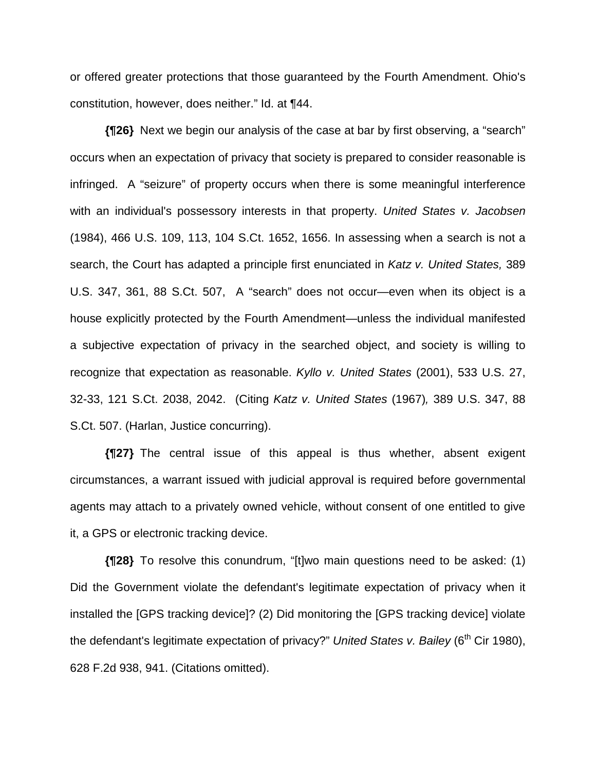or offered greater protections that those guaranteed by the Fourth Amendment. Ohio's constitution, however, does neither." Id. at ¶44.

**{¶26}** Next we begin our analysis of the case at bar by first observing, a "search" occurs when an expectation of privacy that society is prepared to consider reasonable is infringed. A "seizure" of property occurs when there is some meaningful interference with an individual's possessory interests in that property. *United States v. Jacobsen* (1984), 466 U.S. 109, 113, 104 S.Ct. 1652, 1656. In assessing when a search is not a search, the Court has adapted a principle first enunciated in *Katz v. United States,* 389 U.S. 347, 361, 88 S.Ct. 507, A "search" does not occur—even when its object is a house explicitly protected by the Fourth Amendment—unless the individual manifested a subjective expectation of privacy in the searched object, and society is willing to recognize that expectation as reasonable. *Kyllo v. United States* (2001), 533 U.S. 27, 32-33, 121 S.Ct. 2038, 2042. (Citing *Katz v. United States* (1967)*,* 389 U.S. 347, 88 S.Ct. 507. (Harlan, Justice concurring).

**{¶27}** The central issue of this appeal is thus whether, absent exigent circumstances, a warrant issued with judicial approval is required before governmental agents may attach to a privately owned vehicle, without consent of one entitled to give it, a GPS or electronic tracking device.

**{¶28}** To resolve this conundrum, "[t]wo main questions need to be asked: (1) Did the Government violate the defendant's legitimate expectation of privacy when it installed the [GPS tracking device]? (2) Did monitoring the [GPS tracking device] violate the defendant's legitimate expectation of privacy?" *United States v. Bailey* (6<sup>th</sup> Cir 1980), 628 F.2d 938, 941. (Citations omitted).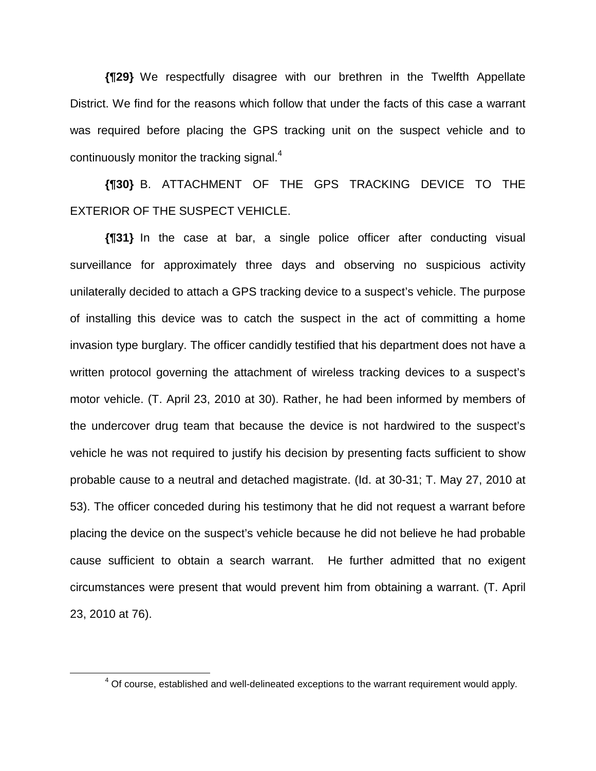**{¶29}** We respectfully disagree with our brethren in the Twelfth Appellate District. We find for the reasons which follow that under the facts of this case a warrant was required before placing the GPS tracking unit on the suspect vehicle and to continuously monitor the tracking signal.<sup>4</sup>

**{¶30}** B. ATTACHMENT OF THE GPS TRACKING DEVICE TO THE EXTERIOR OF THE SUSPECT VEHICLE.

**{¶31}** In the case at bar, a single police officer after conducting visual surveillance for approximately three days and observing no suspicious activity unilaterally decided to attach a GPS tracking device to a suspect's vehicle. The purpose of installing this device was to catch the suspect in the act of committing a home invasion type burglary. The officer candidly testified that his department does not have a written protocol governing the attachment of wireless tracking devices to a suspect's motor vehicle. (T. April 23, 2010 at 30). Rather, he had been informed by members of the undercover drug team that because the device is not hardwired to the suspect's vehicle he was not required to justify his decision by presenting facts sufficient to show probable cause to a neutral and detached magistrate. (Id. at 30-31; T. May 27, 2010 at 53). The officer conceded during his testimony that he did not request a warrant before placing the device on the suspect's vehicle because he did not believe he had probable cause sufficient to obtain a search warrant. He further admitted that no exigent circumstances were present that would prevent him from obtaining a warrant. (T. April 23, 2010 at 76).

 $\overline{4}$  $4$  Of course, established and well-delineated exceptions to the warrant requirement would apply.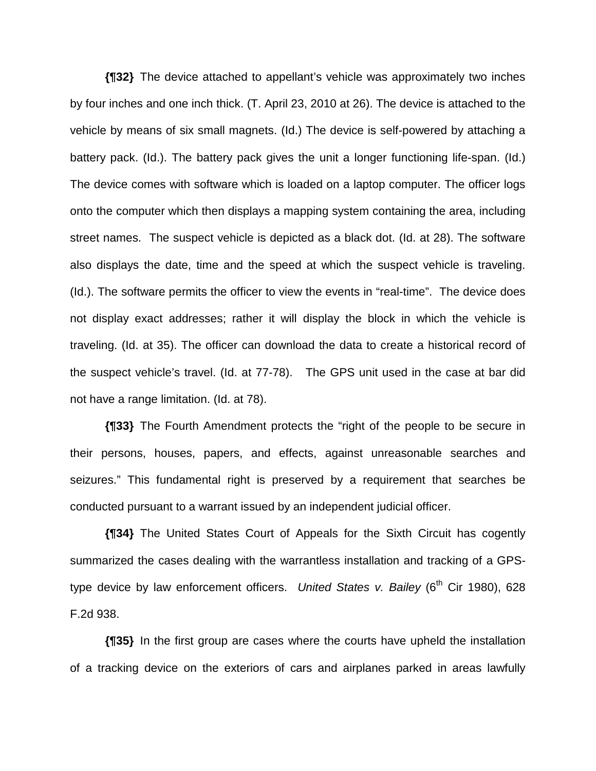**{¶32}** The device attached to appellant's vehicle was approximately two inches by four inches and one inch thick. (T. April 23, 2010 at 26). The device is attached to the vehicle by means of six small magnets. (Id.) The device is self-powered by attaching a battery pack. (Id.). The battery pack gives the unit a longer functioning life-span. (Id.) The device comes with software which is loaded on a laptop computer. The officer logs onto the computer which then displays a mapping system containing the area, including street names. The suspect vehicle is depicted as a black dot. (Id. at 28). The software also displays the date, time and the speed at which the suspect vehicle is traveling. (Id.). The software permits the officer to view the events in "real-time". The device does not display exact addresses; rather it will display the block in which the vehicle is traveling. (Id. at 35). The officer can download the data to create a historical record of the suspect vehicle's travel. (Id. at 77-78). The GPS unit used in the case at bar did not have a range limitation. (Id. at 78).

**{¶33}** The Fourth Amendment protects the "right of the people to be secure in their persons, houses, papers, and effects, against unreasonable searches and seizures." This fundamental right is preserved by a requirement that searches be conducted pursuant to a warrant issued by an independent judicial officer.

**{¶34}** The United States Court of Appeals for the Sixth Circuit has cogently summarized the cases dealing with the warrantless installation and tracking of a GPStype device by law enforcement officers. *United States v. Bailey* (6<sup>th</sup> Cir 1980), 628 F.2d 938.

**{¶35}** In the first group are cases where the courts have upheld the installation of a tracking device on the exteriors of cars and airplanes parked in areas lawfully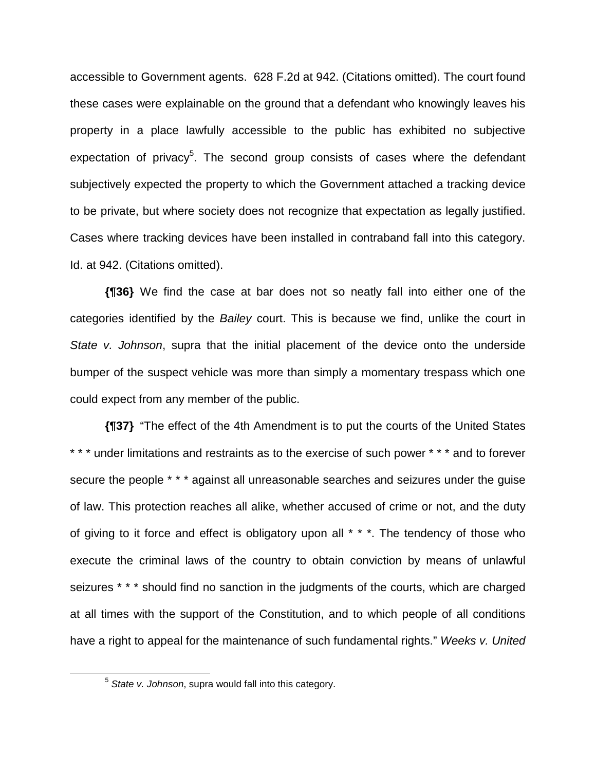accessible to Government agents. 628 F.2d at 942. (Citations omitted). The court found these cases were explainable on the ground that a defendant who knowingly leaves his property in a place lawfully accessible to the public has exhibited no subjective expectation of privacy<sup>5</sup>. The second group consists of cases where the defendant subjectively expected the property to which the Government attached a tracking device to be private, but where society does not recognize that expectation as legally justified. Cases where tracking devices have been installed in contraband fall into this category. Id. at 942. (Citations omitted).

**{¶36}** We find the case at bar does not so neatly fall into either one of the categories identified by the *Bailey* court. This is because we find, unlike the court in *State v. Johnson*, supra that the initial placement of the device onto the underside bumper of the suspect vehicle was more than simply a momentary trespass which one could expect from any member of the public.

**{¶37}** "The effect of the 4th Amendment is to put the courts of the United States \* \* \* under limitations and restraints as to the exercise of such power \* \* \* and to forever secure the people \* \* \* against all unreasonable searches and seizures under the guise of law. This protection reaches all alike, whether accused of crime or not, and the duty of giving to it force and effect is obligatory upon all \* \* \*. The tendency of those who execute the criminal laws of the country to obtain conviction by means of unlawful seizures \* \* \* should find no sanction in the judgments of the courts, which are charged at all times with the support of the Constitution, and to which people of all conditions have a right to appeal for the maintenance of such fundamental rights." *Weeks v. United*

 <sup>5</sup> *State v. Johnson*, supra would fall into this category.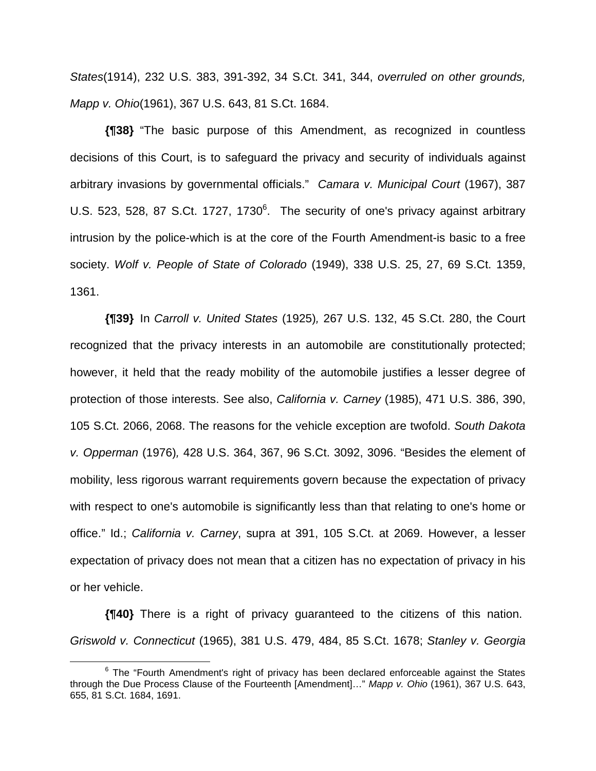*States*(1914), 232 U.S. 383, 391-392, 34 S.Ct. 341, 344, *overruled on other grounds, Mapp v. Ohio*(1961), 367 U.S. 643, 81 S.Ct. 1684.

**{¶38}** "The basic purpose of this Amendment, as recognized in countless decisions of this Court, is to safeguard the privacy and security of individuals against arbitrary invasions by governmental officials." *Camara v. Municipal Court* (1967), 387 U.S. 523, 528, 87 S.Ct. 1727, 1730 $<sup>6</sup>$ . The security of one's privacy against arbitrary</sup> intrusion by the police-which is at the core of the Fourth Amendment-is basic to a free society. *Wolf v. People of State of Colorado* (1949), 338 U.S. 25, 27, 69 S.Ct. 1359, 1361.

**{¶39}** In *Carroll v. United States* (1925)*,* 267 U.S. 132, 45 S.Ct. 280, the Court recognized that the privacy interests in an automobile are constitutionally protected; however, it held that the ready mobility of the automobile justifies a lesser degree of protection of those interests. See also, *California v. Carney* (1985), 471 U.S. 386, 390, 105 S.Ct. 2066, 2068. The reasons for the vehicle exception are twofold. *South Dakota v. Opperman* (1976)*,* 428 U.S. 364, 367, 96 S.Ct. 3092, 3096. "Besides the element of mobility, less rigorous warrant requirements govern because the expectation of privacy with respect to one's automobile is significantly less than that relating to one's home or office." Id.; *California v. Carney*, supra at 391, 105 S.Ct. at 2069. However, a lesser expectation of privacy does not mean that a citizen has no expectation of privacy in his or her vehicle.

**{¶40}** There is a right of privacy guaranteed to the citizens of this nation. *Griswold v. Connecticut* (1965), 381 U.S. 479, 484, 85 S.Ct. 1678; *Stanley v. Georgia*

 <sup>6</sup>  $6$  The "Fourth Amendment's right of privacy has been declared enforceable against the States through the Due Process Clause of the Fourteenth [Amendment]…" *Mapp v. Ohio* (1961), 367 U.S. 643, 655, 81 S.Ct. 1684, 1691.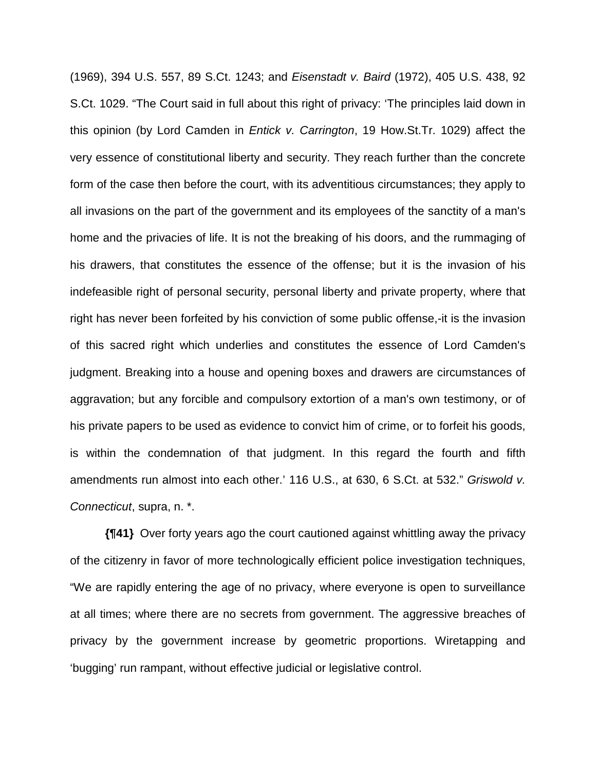(1969), 394 U.S. 557, 89 S.Ct. 1243; and *Eisenstadt v. Baird* (1972), 405 U.S. 438, 92 S.Ct. 1029. "The Court said in full about this right of privacy: 'The principles laid down in this opinion (by Lord Camden in *Entick v. Carrington*, 19 How.St.Tr. 1029) affect the very essence of constitutional liberty and security. They reach further than the concrete form of the case then before the court, with its adventitious circumstances; they apply to all invasions on the part of the government and its employees of the sanctity of a man's home and the privacies of life. It is not the breaking of his doors, and the rummaging of his drawers, that constitutes the essence of the offense; but it is the invasion of his indefeasible right of personal security, personal liberty and private property, where that right has never been forfeited by his conviction of some public offense,-it is the invasion of this sacred right which underlies and constitutes the essence of Lord Camden's judgment. Breaking into a house and opening boxes and drawers are circumstances of aggravation; but any forcible and compulsory extortion of a man's own testimony, or of his private papers to be used as evidence to convict him of crime, or to forfeit his goods, is within the condemnation of that judgment. In this regard the fourth and fifth amendments run almost into each other.' 116 U.S., at 630, 6 S.Ct. at 532." *Griswold v. Connecticut*, supra, n. \*.

**{¶41}** Over forty years ago the court cautioned against whittling away the privacy of the citizenry in favor of more technologically efficient police investigation techniques, "We are rapidly entering the age of no privacy, where everyone is open to surveillance at all times; where there are no secrets from government. The aggressive breaches of privacy by the government increase by geometric proportions. Wiretapping and 'bugging' run rampant, without effective judicial or legislative control.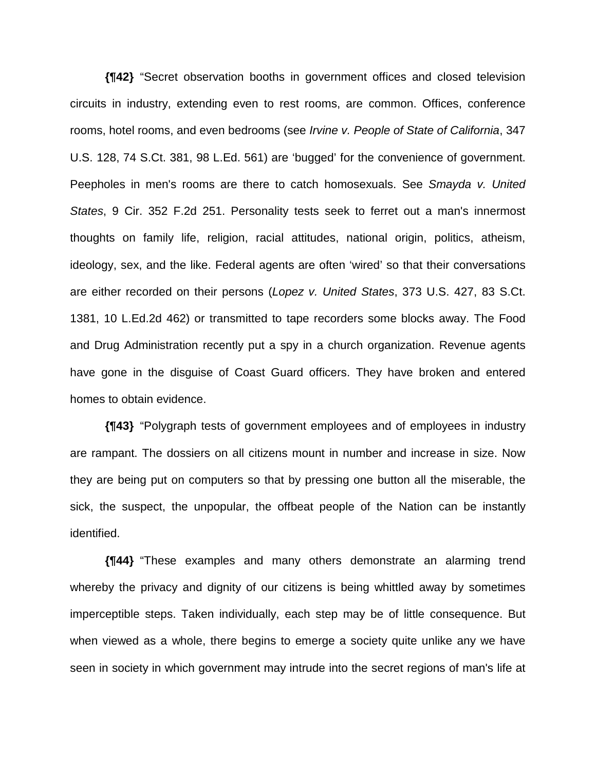**{¶42}** "Secret observation booths in government offices and closed television circuits in industry, extending even to rest rooms, are common. Offices, conference rooms, hotel rooms, and even bedrooms (see *Irvine v. People of State of California*, 347 U.S. 128, 74 S.Ct. 381, 98 L.Ed. 561) are 'bugged' for the convenience of government. Peepholes in men's rooms are there to catch homosexuals. See *Smayda v. United States*, 9 Cir. 352 F.2d 251. Personality tests seek to ferret out a man's innermost thoughts on family life, religion, racial attitudes, national origin, politics, atheism, ideology, sex, and the like. Federal agents are often 'wired' so that their conversations are either recorded on their persons (*Lopez v. United States*, 373 U.S. 427, 83 S.Ct. 1381, 10 L.Ed.2d 462) or transmitted to tape recorders some blocks away. The Food and Drug Administration recently put a spy in a church organization. Revenue agents have gone in the disguise of Coast Guard officers. They have broken and entered homes to obtain evidence.

**{¶43}** "Polygraph tests of government employees and of employees in industry are rampant. The dossiers on all citizens mount in number and increase in size. Now they are being put on computers so that by pressing one button all the miserable, the sick, the suspect, the unpopular, the offbeat people of the Nation can be instantly identified.

**{¶44}** "These examples and many others demonstrate an alarming trend whereby the privacy and dignity of our citizens is being whittled away by sometimes imperceptible steps. Taken individually, each step may be of little consequence. But when viewed as a whole, there begins to emerge a society quite unlike any we have seen in society in which government may intrude into the secret regions of man's life at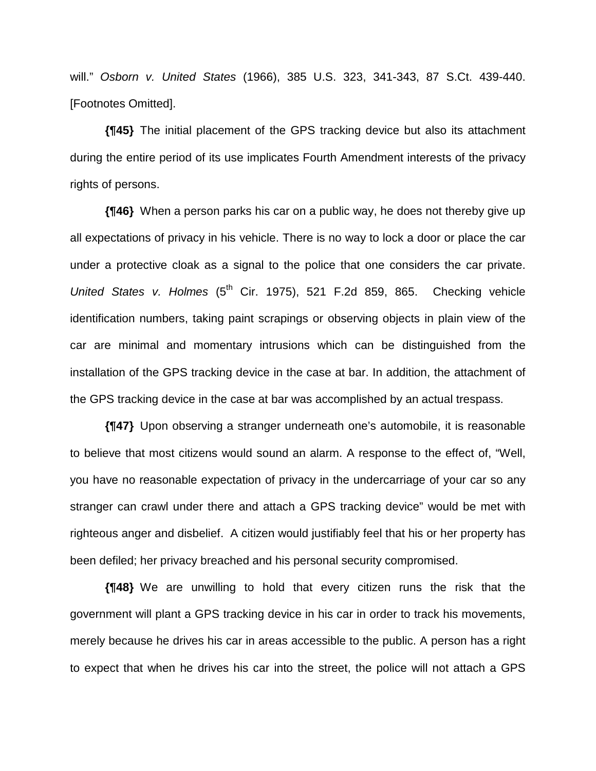will." *Osborn v. United States* (1966), 385 U.S. 323, 341-343, 87 S.Ct. 439-440. [Footnotes Omitted].

**{¶45}** The initial placement of the GPS tracking device but also its attachment during the entire period of its use implicates Fourth Amendment interests of the privacy rights of persons.

**{¶46}** When a person parks his car on a public way, he does not thereby give up all expectations of privacy in his vehicle. There is no way to lock a door or place the car under a protective cloak as a signal to the police that one considers the car private. *United States v. Holmes* (5<sup>th</sup> Cir. 1975), 521 F.2d 859, 865. Checking vehicle identification numbers, taking paint scrapings or observing objects in plain view of the car are minimal and momentary intrusions which can be distinguished from the installation of the GPS tracking device in the case at bar. In addition, the attachment of the GPS tracking device in the case at bar was accomplished by an actual trespass.

**{¶47}** Upon observing a stranger underneath one's automobile, it is reasonable to believe that most citizens would sound an alarm. A response to the effect of, "Well, you have no reasonable expectation of privacy in the undercarriage of your car so any stranger can crawl under there and attach a GPS tracking device" would be met with righteous anger and disbelief. A citizen would justifiably feel that his or her property has been defiled; her privacy breached and his personal security compromised.

**{¶48}** We are unwilling to hold that every citizen runs the risk that the government will plant a GPS tracking device in his car in order to track his movements, merely because he drives his car in areas accessible to the public. A person has a right to expect that when he drives his car into the street, the police will not attach a GPS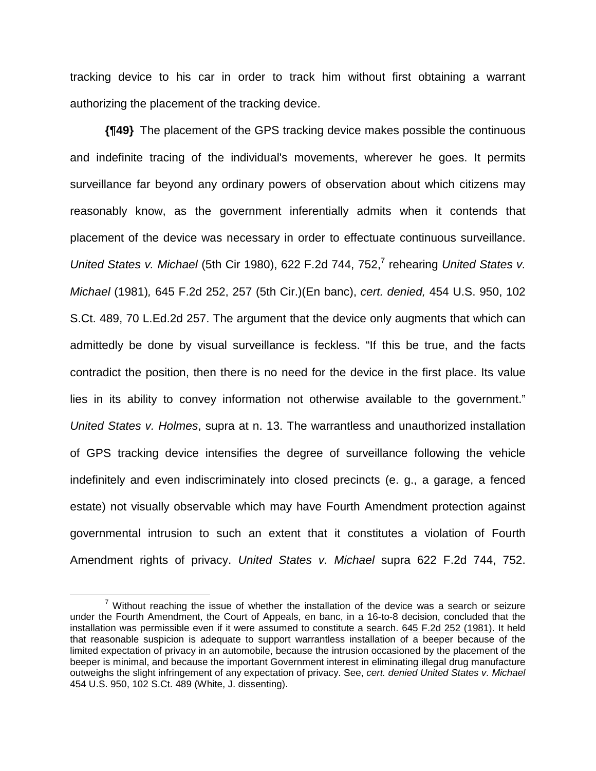tracking device to his car in order to track him without first obtaining a warrant authorizing the placement of the tracking device.

**{¶49}** The placement of the GPS tracking device makes possible the continuous and indefinite tracing of the individual's movements, wherever he goes. It permits surveillance far beyond any ordinary powers of observation about which citizens may reasonably know, as the government inferentially admits when it contends that placement of the device was necessary in order to effectuate continuous surveillance. United States v. Michael (5th Cir 1980), 622 F.2d 744, 752,<sup>7</sup> rehearing United States v. *Michael* (1981)*,* 645 F.2d 252, 257 (5th Cir.)(En banc), *cert. denied,* 454 U.S. 950, 102 S.Ct. 489, 70 L.Ed.2d 257. The argument that the device only augments that which can admittedly be done by visual surveillance is feckless. "If this be true, and the facts contradict the position, then there is no need for the device in the first place. Its value lies in its ability to convey information not otherwise available to the government." *United States v. Holmes*, supra at n. 13. The warrantless and unauthorized installation of GPS tracking device intensifies the degree of surveillance following the vehicle indefinitely and even indiscriminately into closed precincts (e. g., a garage, a fenced estate) not visually observable which may have Fourth Amendment protection against governmental intrusion to such an extent that it constitutes a violation of Fourth Amendment rights of privacy. *United States v. Michael* supra 622 F.2d 744, 752.

 $\frac{1}{7}$  $\frac{7}{1}$  Without reaching the issue of whether the installation of the device was a search or seizure under the Fourth Amendment, the Court of Appeals, en banc, in a 16-to-8 decision, concluded that the installation was permissible even if it were assumed to constitute a search. 645 F.2d 252 (1981). It held that reasonable suspicion is adequate to support warrantless installation of a beeper because of the limited expectation of privacy in an automobile, because the intrusion occasioned by the placement of the beeper is minimal, and because the important Government interest in eliminating illegal drug manufacture outweighs the slight infringement of any expectation of privacy. See, *cert. denied United States v. Michael*  454 U.S. 950, 102 S.Ct. 489 (White, J. dissenting).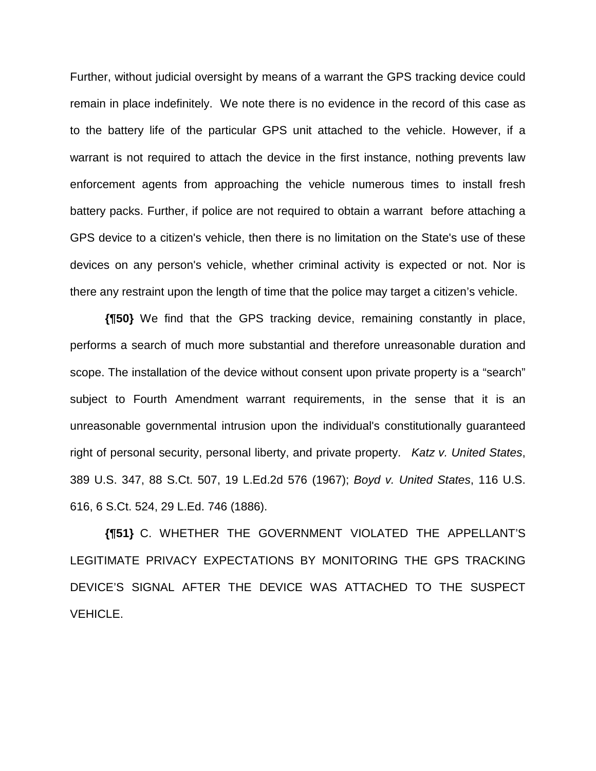Further, without judicial oversight by means of a warrant the GPS tracking device could remain in place indefinitely. We note there is no evidence in the record of this case as to the battery life of the particular GPS unit attached to the vehicle. However, if a warrant is not required to attach the device in the first instance, nothing prevents law enforcement agents from approaching the vehicle numerous times to install fresh battery packs. Further, if police are not required to obtain a warrant before attaching a GPS device to a citizen's vehicle, then there is no limitation on the State's use of these devices on any person's vehicle, whether criminal activity is expected or not. Nor is there any restraint upon the length of time that the police may target a citizen's vehicle.

**{¶50}** We find that the GPS tracking device, remaining constantly in place, performs a search of much more substantial and therefore unreasonable duration and scope. The installation of the device without consent upon private property is a "search" subject to Fourth Amendment warrant requirements, in the sense that it is an unreasonable governmental intrusion upon the individual's constitutionally guaranteed right of personal security, personal liberty, and private property. *Katz v. United States*, 389 U.S. 347, 88 S.Ct. 507, 19 L.Ed.2d 576 (1967); *Boyd v. United States*, 116 U.S. 616, 6 S.Ct. 524, 29 L.Ed. 746 (1886).

**{¶51}** C. WHETHER THE GOVERNMENT VIOLATED THE APPELLANT'S LEGITIMATE PRIVACY EXPECTATIONS BY MONITORING THE GPS TRACKING DEVICE'S SIGNAL AFTER THE DEVICE WAS ATTACHED TO THE SUSPECT VEHICLE.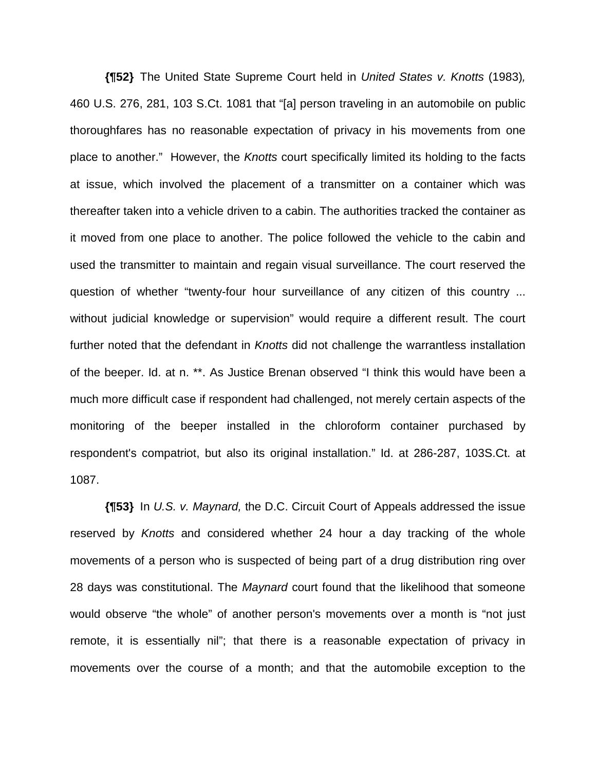**{¶52}** The United State Supreme Court held in *United States v. Knotts* (1983)*,* 460 U.S. 276, 281, 103 S.Ct. 1081 that "[a] person traveling in an automobile on public thoroughfares has no reasonable expectation of privacy in his movements from one place to another." However, the *Knotts* court specifically limited its holding to the facts at issue, which involved the placement of a transmitter on a container which was thereafter taken into a vehicle driven to a cabin. The authorities tracked the container as it moved from one place to another. The police followed the vehicle to the cabin and used the transmitter to maintain and regain visual surveillance. The court reserved the question of whether "twenty-four hour surveillance of any citizen of this country ... without judicial knowledge or supervision" would require a different result. The court further noted that the defendant in *Knotts* did not challenge the warrantless installation of the beeper. Id. at n. \*\*. As Justice Brenan observed "I think this would have been a much more difficult case if respondent had challenged, not merely certain aspects of the monitoring of the beeper installed in the chloroform container purchased by respondent's compatriot, but also its original installation." Id. at 286-287, 103S.Ct. at 1087.

**{¶53}** In *U.S. v. Maynard,* the D.C. Circuit Court of Appeals addressed the issue reserved by *Knotts* and considered whether 24 hour a day tracking of the whole movements of a person who is suspected of being part of a drug distribution ring over 28 days was constitutional. The *Maynard* court found that the likelihood that someone would observe "the whole" of another person's movements over a month is "not just remote, it is essentially nil"; that there is a reasonable expectation of privacy in movements over the course of a month; and that the automobile exception to the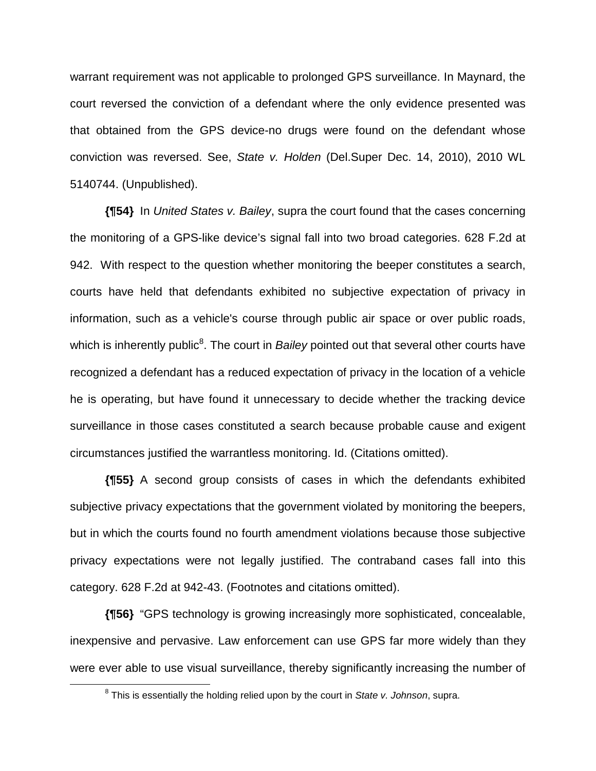warrant requirement was not applicable to prolonged GPS surveillance. In Maynard, the court reversed the conviction of a defendant where the only evidence presented was that obtained from the GPS device-no drugs were found on the defendant whose conviction was reversed. See, *State v. Holden* (Del.Super Dec. 14, 2010), 2010 WL 5140744. (Unpublished).

**{¶54}** In *United States v. Bailey*, supra the court found that the cases concerning the monitoring of a GPS-like device's signal fall into two broad categories. 628 F.2d at 942. With respect to the question whether monitoring the beeper constitutes a search, courts have held that defendants exhibited no subjective expectation of privacy in information, such as a vehicle's course through public air space or over public roads, which is inherently public<sup>8</sup>. The court in *Bailey* pointed out that several other courts have recognized a defendant has a reduced expectation of privacy in the location of a vehicle he is operating, but have found it unnecessary to decide whether the tracking device surveillance in those cases constituted a search because probable cause and exigent circumstances justified the warrantless monitoring. Id. (Citations omitted).

**{¶55}** A second group consists of cases in which the defendants exhibited subjective privacy expectations that the government violated by monitoring the beepers, but in which the courts found no fourth amendment violations because those subjective privacy expectations were not legally justified. The contraband cases fall into this category. 628 F.2d at 942-43. (Footnotes and citations omitted).

**{¶56}** "GPS technology is growing increasingly more sophisticated, concealable, inexpensive and pervasive. Law enforcement can use GPS far more widely than they were ever able to use visual surveillance, thereby significantly increasing the number of

 <sup>8</sup> This is essentially the holding relied upon by the court in *State v. Johnson*, supra.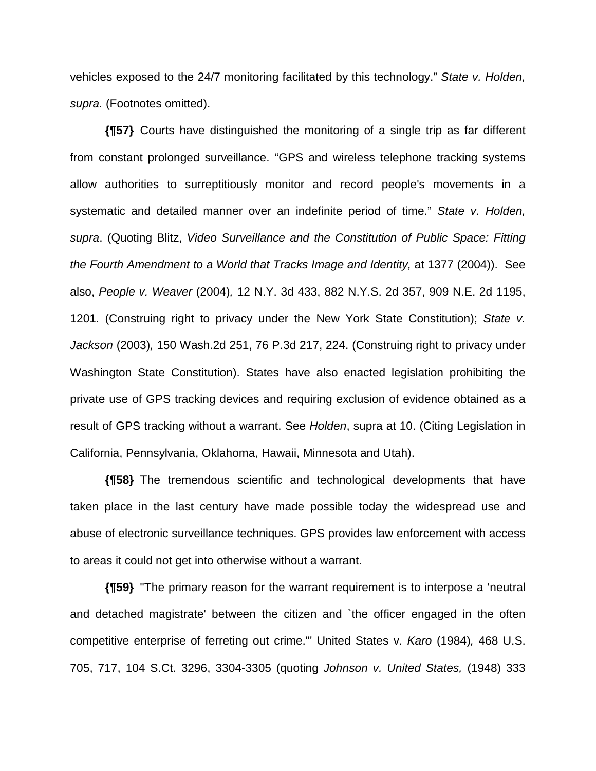vehicles exposed to the 24/7 monitoring facilitated by this technology." *State v. Holden, supra.* (Footnotes omitted).

**{¶57}** Courts have distinguished the monitoring of a single trip as far different from constant prolonged surveillance. "GPS and wireless telephone tracking systems allow authorities to surreptitiously monitor and record people's movements in a systematic and detailed manner over an indefinite period of time." *State v. Holden, supra*. (Quoting Blitz, *Video Surveillance and the Constitution of Public Space: Fitting the Fourth Amendment to a World that Tracks Image and Identity,* at 1377 (2004)). See also, *People v. Weaver* (2004)*,* 12 N.Y. 3d 433, 882 N.Y.S. 2d 357, 909 N.E. 2d 1195, 1201. (Construing right to privacy under the New York State Constitution); *State v. Jackson* (2003)*,* 150 Wash.2d 251, 76 P.3d 217, 224. (Construing right to privacy under Washington State Constitution). States have also enacted legislation prohibiting the private use of GPS tracking devices and requiring exclusion of evidence obtained as a result of GPS tracking without a warrant. See *Holden*, supra at 10. (Citing Legislation in California, Pennsylvania, Oklahoma, Hawaii, Minnesota and Utah).

**{¶58}** The tremendous scientific and technological developments that have taken place in the last century have made possible today the widespread use and abuse of electronic surveillance techniques. GPS provides law enforcement with access to areas it could not get into otherwise without a warrant.

**{¶59}** "The primary reason for the warrant requirement is to interpose a 'neutral and detached magistrate' between the citizen and `the officer engaged in the often competitive enterprise of ferreting out crime."' United States v. *Karo* (1984)*,* 468 U.S. 705, 717, 104 S.Ct. 3296, 3304-3305 (quoting *Johnson v. United States,* (1948) 333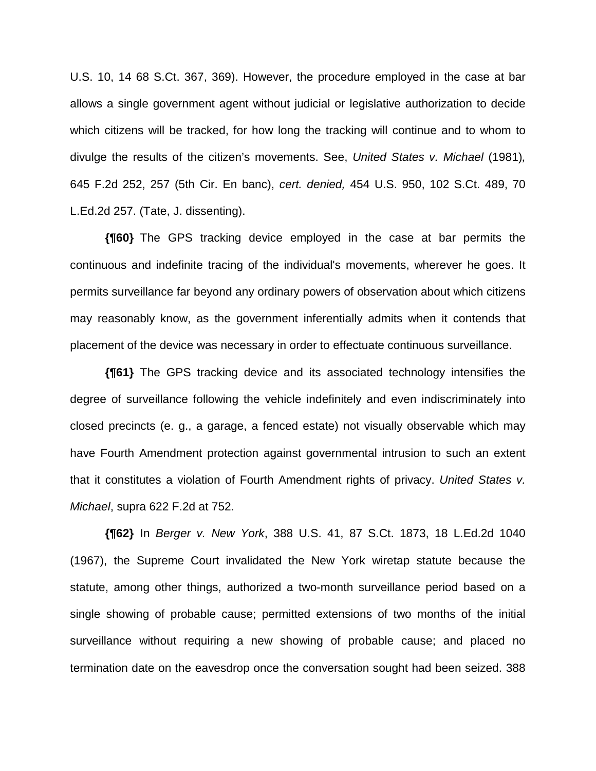U.S. 10, 14 68 S.Ct. 367, 369). However, the procedure employed in the case at bar allows a single government agent without judicial or legislative authorization to decide which citizens will be tracked, for how long the tracking will continue and to whom to divulge the results of the citizen's movements. See, *United States v. Michael* (1981)*,* 645 F.2d 252, 257 (5th Cir. En banc), *cert. denied,* 454 U.S. 950, 102 S.Ct. 489, 70 L.Ed.2d 257. (Tate, J. dissenting).

**{¶60}** The GPS tracking device employed in the case at bar permits the continuous and indefinite tracing of the individual's movements, wherever he goes. It permits surveillance far beyond any ordinary powers of observation about which citizens may reasonably know, as the government inferentially admits when it contends that placement of the device was necessary in order to effectuate continuous surveillance.

**{¶61}** The GPS tracking device and its associated technology intensifies the degree of surveillance following the vehicle indefinitely and even indiscriminately into closed precincts (e. g., a garage, a fenced estate) not visually observable which may have Fourth Amendment protection against governmental intrusion to such an extent that it constitutes a violation of Fourth Amendment rights of privacy. *United States v. Michael*, supra 622 F.2d at 752.

**{¶62}** In *Berger v. New York*, 388 U.S. 41, 87 S.Ct. 1873, 18 L.Ed.2d 1040 (1967), the Supreme Court invalidated the New York wiretap statute because the statute, among other things, authorized a two-month surveillance period based on a single showing of probable cause; permitted extensions of two months of the initial surveillance without requiring a new showing of probable cause; and placed no termination date on the eavesdrop once the conversation sought had been seized. 388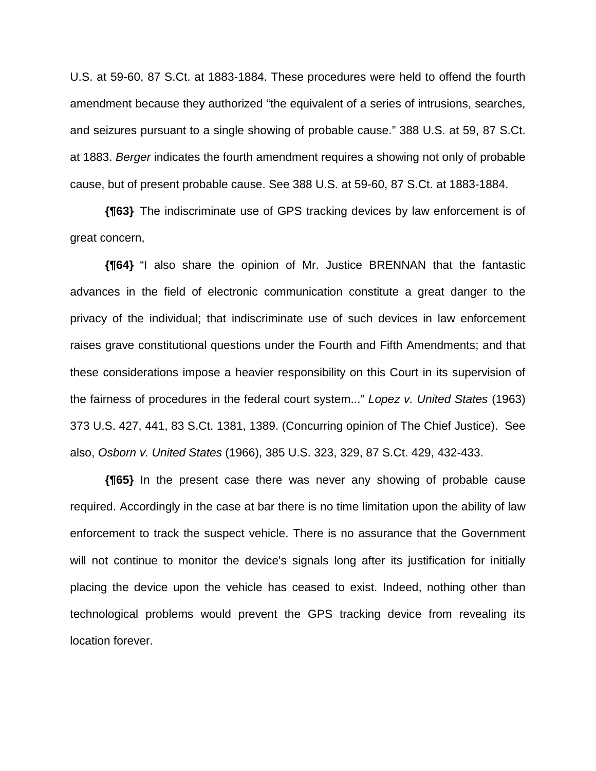U.S. at 59-60, 87 S.Ct. at 1883-1884. These procedures were held to offend the fourth amendment because they authorized "the equivalent of a series of intrusions, searches, and seizures pursuant to a single showing of probable cause." 388 U.S. at 59, 87 S.Ct. at 1883. *Berger* indicates the fourth amendment requires a showing not only of probable cause, but of present probable cause. See 388 U.S. at 59-60, 87 S.Ct. at 1883-1884.

**{¶63}** The indiscriminate use of GPS tracking devices by law enforcement is of great concern,

**{¶64}** "I also share the opinion of Mr. Justice BRENNAN that the fantastic advances in the field of electronic communication constitute a great danger to the privacy of the individual; that indiscriminate use of such devices in law enforcement raises grave constitutional questions under the Fourth and Fifth Amendments; and that these considerations impose a heavier responsibility on this Court in its supervision of the fairness of procedures in the federal court system..." *Lopez v. United States* (1963) 373 U.S. 427, 441, 83 S.Ct. 1381, 1389. (Concurring opinion of The Chief Justice). See also, *Osborn v. United States* (1966), 385 U.S. 323, 329, 87 S.Ct. 429, 432-433.

**{¶65}** In the present case there was never any showing of probable cause required. Accordingly in the case at bar there is no time limitation upon the ability of law enforcement to track the suspect vehicle. There is no assurance that the Government will not continue to monitor the device's signals long after its justification for initially placing the device upon the vehicle has ceased to exist. Indeed, nothing other than technological problems would prevent the GPS tracking device from revealing its location forever.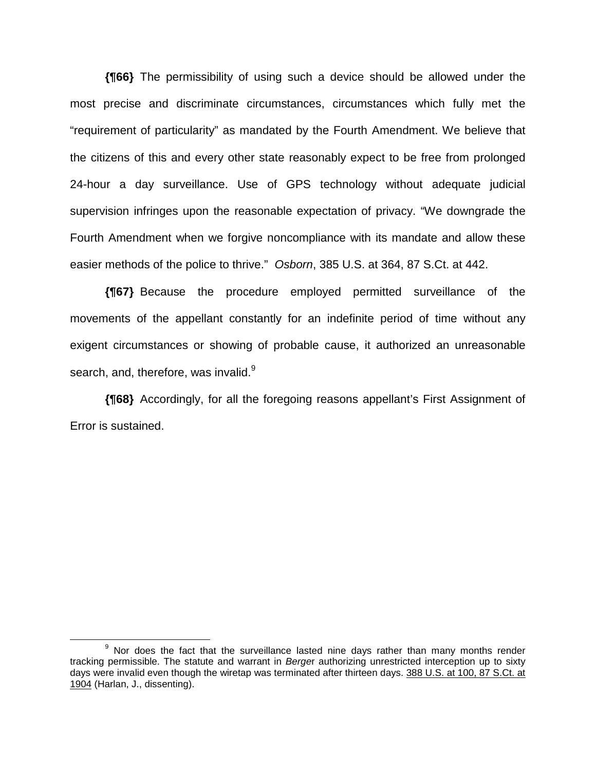**{¶66}** The permissibility of using such a device should be allowed under the most precise and discriminate circumstances, circumstances which fully met the "requirement of particularity" as mandated by the Fourth Amendment. We believe that the citizens of this and every other state reasonably expect to be free from prolonged 24-hour a day surveillance. Use of GPS technology without adequate judicial supervision infringes upon the reasonable expectation of privacy. "We downgrade the Fourth Amendment when we forgive noncompliance with its mandate and allow these easier methods of the police to thrive." *Osborn*, 385 U.S. at 364, 87 S.Ct. at 442.

**{¶67}** Because the procedure employed permitted surveillance of the movements of the appellant constantly for an indefinite period of time without any exigent circumstances or showing of probable cause, it authorized an unreasonable search, and, therefore, was invalid.<sup>9</sup>

**{¶68}** Accordingly, for all the foregoing reasons appellant's First Assignment of Error is sustained.

 <sup>9</sup>  $9$  Nor does the fact that the surveillance lasted nine days rather than many months render tracking permissible. The statute and warrant in *Berge*r authorizing unrestricted interception up to sixty days were invalid even though the wiretap was terminated after thirteen days. 388 U.S. at 100, 87 S.Ct. at 1904 (Harlan, J., dissenting).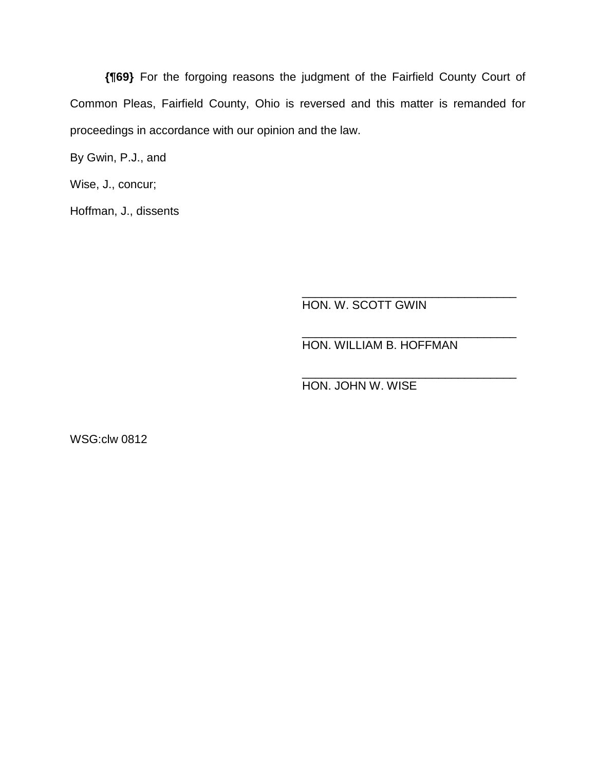**{¶69}** For the forgoing reasons the judgment of the Fairfield County Court of Common Pleas, Fairfield County, Ohio is reversed and this matter is remanded for proceedings in accordance with our opinion and the law.

 $\overline{\phantom{a}}$  ,  $\overline{\phantom{a}}$  ,  $\overline{\phantom{a}}$  ,  $\overline{\phantom{a}}$  ,  $\overline{\phantom{a}}$  ,  $\overline{\phantom{a}}$  ,  $\overline{\phantom{a}}$  ,  $\overline{\phantom{a}}$  ,  $\overline{\phantom{a}}$  ,  $\overline{\phantom{a}}$  ,  $\overline{\phantom{a}}$  ,  $\overline{\phantom{a}}$  ,  $\overline{\phantom{a}}$  ,  $\overline{\phantom{a}}$  ,  $\overline{\phantom{a}}$  ,  $\overline{\phantom{a}}$ 

 $\overline{\phantom{a}}$  ,  $\overline{\phantom{a}}$  ,  $\overline{\phantom{a}}$  ,  $\overline{\phantom{a}}$  ,  $\overline{\phantom{a}}$  ,  $\overline{\phantom{a}}$  ,  $\overline{\phantom{a}}$  ,  $\overline{\phantom{a}}$  ,  $\overline{\phantom{a}}$  ,  $\overline{\phantom{a}}$  ,  $\overline{\phantom{a}}$  ,  $\overline{\phantom{a}}$  ,  $\overline{\phantom{a}}$  ,  $\overline{\phantom{a}}$  ,  $\overline{\phantom{a}}$  ,  $\overline{\phantom{a}}$ 

 $\overline{\phantom{a}}$  ,  $\overline{\phantom{a}}$  ,  $\overline{\phantom{a}}$  ,  $\overline{\phantom{a}}$  ,  $\overline{\phantom{a}}$  ,  $\overline{\phantom{a}}$  ,  $\overline{\phantom{a}}$  ,  $\overline{\phantom{a}}$  ,  $\overline{\phantom{a}}$  ,  $\overline{\phantom{a}}$  ,  $\overline{\phantom{a}}$  ,  $\overline{\phantom{a}}$  ,  $\overline{\phantom{a}}$  ,  $\overline{\phantom{a}}$  ,  $\overline{\phantom{a}}$  ,  $\overline{\phantom{a}}$ 

By Gwin, P.J., and

Wise, J., concur;

Hoffman, J., dissents

HON. W. SCOTT GWIN

HON. WILLIAM B. HOFFMAN

HON. JOHN W. WISE

WSG:clw 0812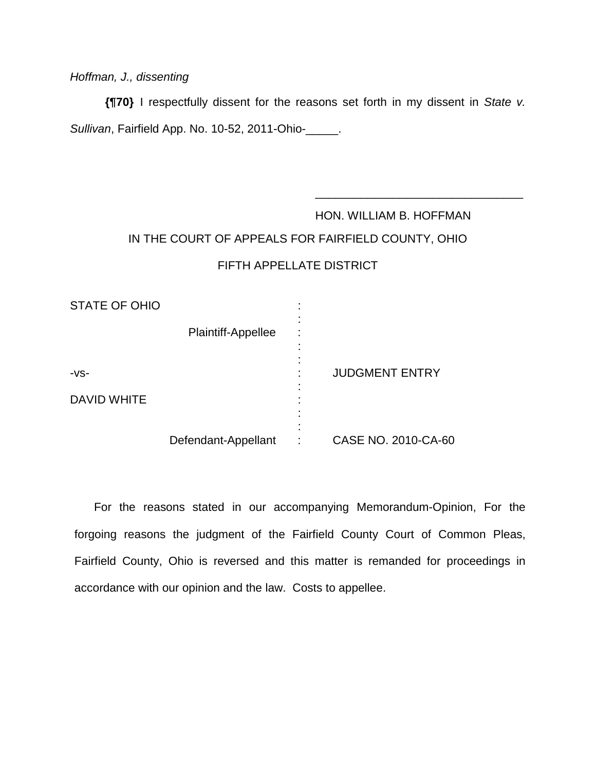# *Hoffman, J., dissenting*

**{¶70}** I respectfully dissent for the reasons set forth in my dissent in *State v. Sullivan*, Fairfield App. No. 10-52, 2011-Ohio-\_\_\_\_\_.

# HON. WILLIAM B. HOFFMAN IN THE COURT OF APPEALS FOR FAIRFIELD COUNTY, OHIO FIFTH APPELLATE DISTRICT

 $\overline{\phantom{a}}$  , and the contract of the contract of the contract of the contract of the contract of the contract of the contract of the contract of the contract of the contract of the contract of the contract of the contrac

| <b>STATE OF OHIO</b> |                     | ٠      |                       |
|----------------------|---------------------|--------|-----------------------|
|                      | Plaintiff-Appellee  | ٠<br>٠ |                       |
|                      |                     |        |                       |
| $-VS-$               |                     |        | <b>JUDGMENT ENTRY</b> |
| <b>DAVID WHITE</b>   |                     | ٠<br>٠ |                       |
|                      |                     |        |                       |
|                      | Defendant-Appellant | ٠      | CASE NO. 2010-CA-60   |

 For the reasons stated in our accompanying Memorandum-Opinion, For the forgoing reasons the judgment of the Fairfield County Court of Common Pleas, Fairfield County, Ohio is reversed and this matter is remanded for proceedings in accordance with our opinion and the law. Costs to appellee.